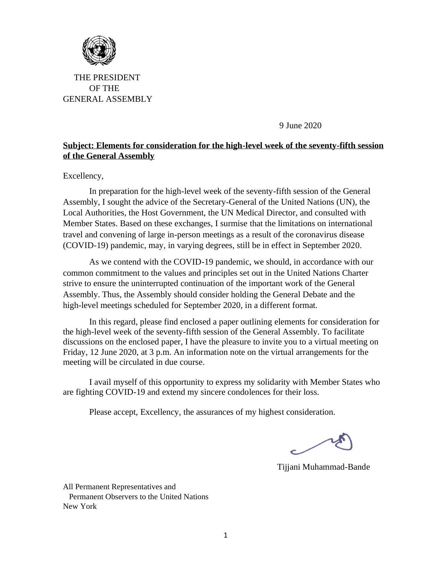

 THE PRESIDENT OF THE GENERAL ASSEMBLY

9 June 2020

## **Subject: Elements for consideration for the high-level week [of the](https://creativecommons.org/licenses/by-sa/3.0/) seventy-fifth session of the General Assembly**

Excellency,

In preparation for the high-level week of the seventy-fifth session of the General Assembly, I sought the advice of the Secretary-General of the United Nations (UN), the Local Authorities, the Host Government, the UN Medical Director, and consulted with Member States. Based on these exchanges, I surmise that the limitations on international travel and convening of large in-person meetings as a result of the coronavirus disease (COVID-19) pandemic, may, in varying degrees, still be in effect in September 2020.

As we contend with the COVID-19 pandemic, we should, in accordance with our common commitment to the values and principles set out in the United Nations Charter strive to ensure the uninterrupted continuation of the important work of the General Assembly. Thus, the Assembly should consider holding the General Debate and the high-level meetings scheduled for September 2020, in a different format.

In this regard, please find enclosed a paper outlining elements for consideration for the high-level week of the seventy-fifth session of the General Assembly. To facilitate discussions on the enclosed paper, I have the pleasure to invite you to a virtual meeting on Friday, 12 June 2020, at 3 p.m. An information note on the virtual arrangements for the meeting will be circulated in due course.

I avail myself of this opportunity to express my solidarity with Member States who are fighting COVID-19 and extend my sincere condolences for their loss.

Please accept, Excellency, the assurances of my highest consideration.

Tijjani Muhammad-Bande

All Permanent Representatives and Permanent Observers to the United Nations New York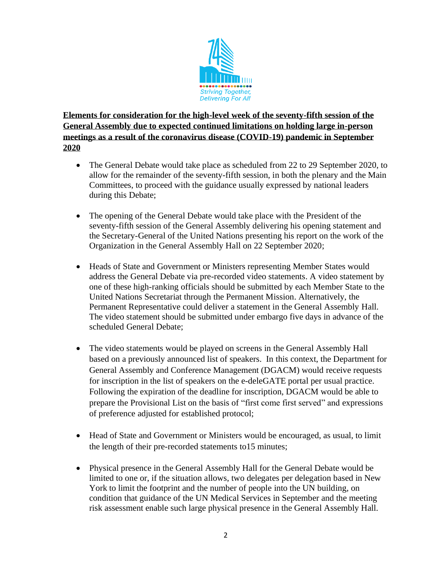

**Elements for consideration for the high-level week of the seventy-fifth session of the General Assembly due to expected continued limitations on holding large in-person meetings as a result of the coronavirus disease (COVID-19) pandemic in September 2020** 

- The General Debate would take place as scheduled from 22 to 29 September 2020, to allow for the remainder of the seventy-fifth session, in both the plenary and the Main Committees, to proceed with the guidance usually expressed by national leaders during this Debate;
- The opening of the General Debate would take place with the President of the seventy-fifth session of the General Assembly delivering his opening statement and the Secretary-General of the United Nations presenting his report on the work of the Organization in the General Assembly Hall on 22 September 2020;
- Heads of State and Government or Ministers representing Member States would address the General Debate via pre-recorded video statements. A video statement by one of these high-ranking officials should be submitted by each Member State to the United Nations Secretariat through the Permanent Mission. Alternatively, the Permanent Representative could deliver a statement in the General Assembly Hall. The video statement should be submitted under embargo five days in advance of the scheduled General Debate;
- The video statements would be played on screens in the General Assembly Hall based on a previously announced list of speakers. In this context, the Department for General Assembly and Conference Management (DGACM) would receive requests for inscription in the list of speakers on the e-deleGATE portal per usual practice. Following the expiration of the deadline for inscription, DGACM would be able to prepare the Provisional List on the basis of "first come first served" and expressions of preference adjusted for established protocol;
- Head of State and Government or Ministers would be encouraged, as usual, to limit the length of their pre-recorded statements to15 minutes;
- Physical presence in the General Assembly Hall for the General Debate would be limited to one or, if the situation allows, two delegates per delegation based in New York to limit the footprint and the number of people into the UN building, on condition that guidance of the UN Medical Services in September and the meeting risk assessment enable such large physical presence in the General Assembly Hall.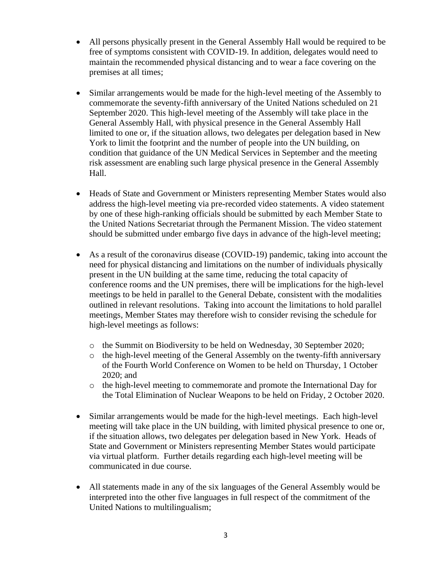- All persons physically present in the General Assembly Hall would be required to be free of symptoms consistent with COVID-19. In addition, delegates would need to maintain the recommended physical distancing and to wear a face covering on the premises at all times;
- Similar arrangements would be made for the high-level meeting of the Assembly to commemorate the seventy-fifth anniversary of the United Nations scheduled on 21 September 2020. This high-level meeting of the Assembly will take place in the General Assembly Hall, with physical presence in the General Assembly Hall limited to one or, if the situation allows, two delegates per delegation based in New York to limit the footprint and the number of people into the UN building, on condition that guidance of the UN Medical Services in September and the meeting risk assessment are enabling such large physical presence in the General Assembly Hall.
- Heads of State and Government or Ministers representing Member States would also address the high-level meeting via pre-recorded video statements. A video statement by one of these high-ranking officials should be submitted by each Member State to the United Nations Secretariat through the Permanent Mission. The video statement should be submitted under embargo five days in advance of the high-level meeting;
- As a result of the coronavirus disease (COVID-19) pandemic, taking into account the need for physical distancing and limitations on the number of individuals physically present in the UN building at the same time, reducing the total capacity of conference rooms and the UN premises, there will be implications for the high-level meetings to be held in parallel to the General Debate, consistent with the modalities outlined in relevant resolutions. Taking into account the limitations to hold parallel meetings, Member States may therefore wish to consider revising the schedule for high-level meetings as follows:
	- o the Summit on Biodiversity to be held on Wednesday, 30 September 2020;
	- o the high-level meeting of the General Assembly on the twenty-fifth anniversary of the Fourth World Conference on Women to be held on Thursday, 1 October 2020; and
	- o the high-level meeting to commemorate and promote the International Day for the Total Elimination of Nuclear Weapons to be held on Friday, 2 October 2020.
- Similar arrangements would be made for the high-level meetings. Each high-level meeting will take place in the UN building, with limited physical presence to one or, if the situation allows, two delegates per delegation based in New York. Heads of State and Government or Ministers representing Member States would participate via virtual platform. Further details regarding each high-level meeting will be communicated in due course.
- All statements made in any of the six languages of the General Assembly would be interpreted into the other five languages in full respect of the commitment of the United Nations to multilingualism;